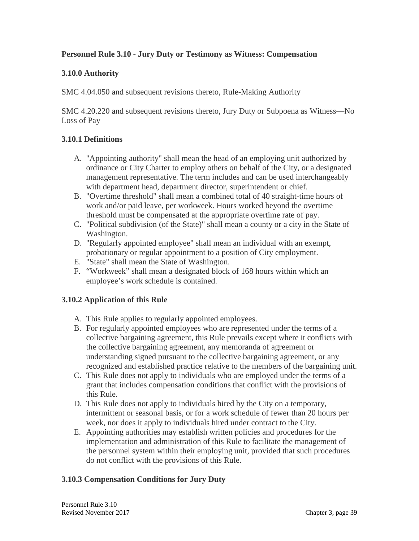# **Personnel Rule 3.10 - Jury Duty or Testimony as Witness: Compensation**

## **3.10.0 Authority**

SMC 4.04.050 and subsequent revisions thereto, Rule-Making Authority

SMC 4.20.220 and subsequent revisions thereto, Jury Duty or Subpoena as Witness—No Loss of Pay

# **3.10.1 Definitions**

- A. "Appointing authority" shall mean the head of an employing unit authorized by ordinance or City Charter to employ others on behalf of the City, or a designated management representative. The term includes and can be used interchangeably with department head, department director, superintendent or chief.
- B. "Overtime threshold" shall mean a combined total of 40 straight-time hours of work and/or paid leave, per workweek. Hours worked beyond the overtime threshold must be compensated at the appropriate overtime rate of pay.
- C. "Political subdivision (of the State)" shall mean a county or a city in the State of Washington.
- D. "Regularly appointed employee" shall mean an individual with an exempt, probationary or regular appointment to a position of City employment.
- E. "State" shall mean the State of Washington.
- F. "Workweek" shall mean a designated block of 168 hours within which an employee's work schedule is contained.

#### **3.10.2 Application of this Rule**

- A. This Rule applies to regularly appointed employees.
- B. For regularly appointed employees who are represented under the terms of a collective bargaining agreement, this Rule prevails except where it conflicts with the collective bargaining agreement, any memoranda of agreement or understanding signed pursuant to the collective bargaining agreement, or any recognized and established practice relative to the members of the bargaining unit.
- C. This Rule does not apply to individuals who are employed under the terms of a grant that includes compensation conditions that conflict with the provisions of this Rule.
- D. This Rule does not apply to individuals hired by the City on a temporary, intermittent or seasonal basis, or for a work schedule of fewer than 20 hours per week, nor does it apply to individuals hired under contract to the City.
- E. Appointing authorities may establish written policies and procedures for the implementation and administration of this Rule to facilitate the management of the personnel system within their employing unit, provided that such procedures do not conflict with the provisions of this Rule.

# **3.10.3 Compensation Conditions for Jury Duty**